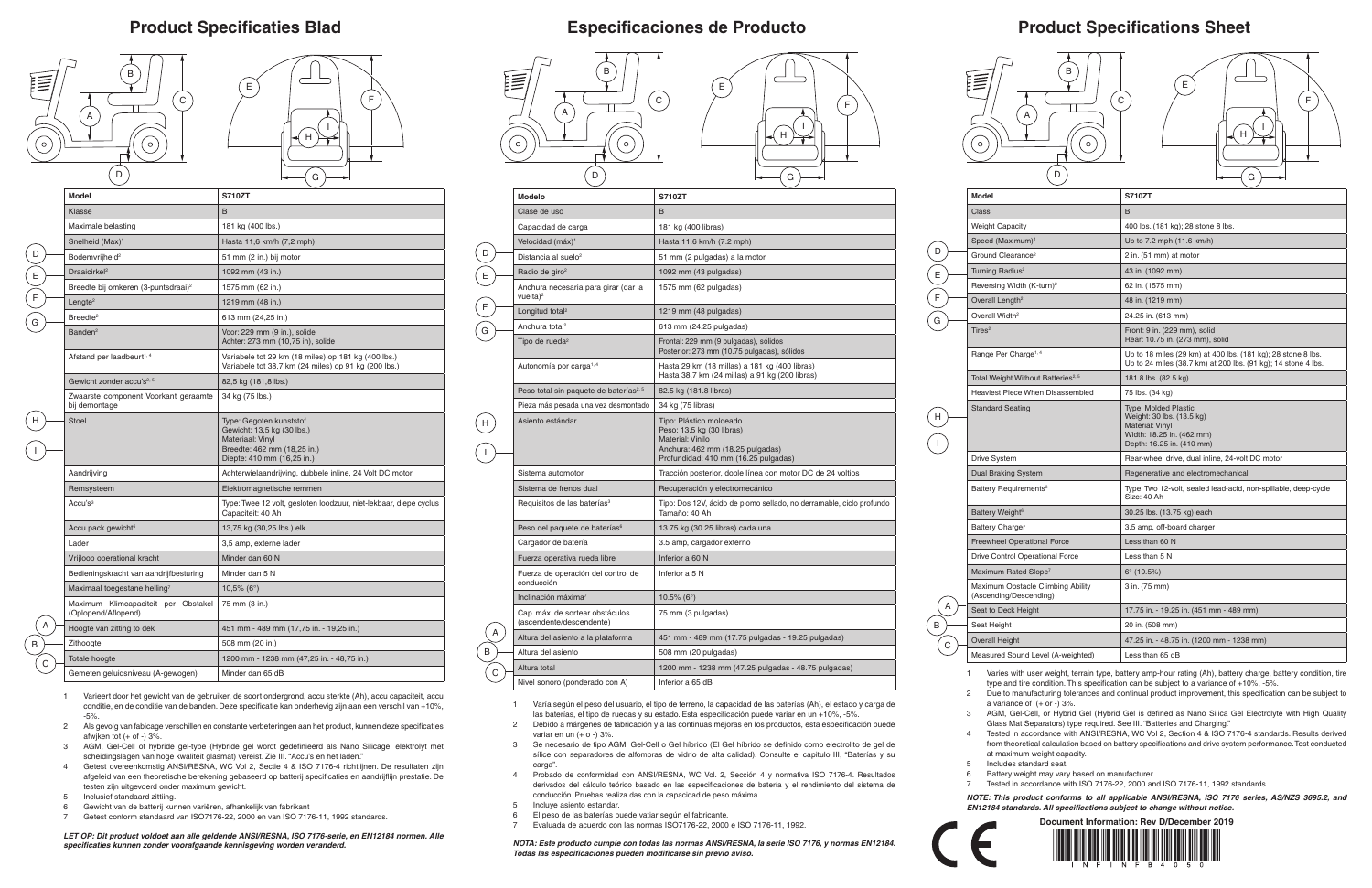## **Product Specifications Sheet**





- 
- 
- 
- 
- 
- 
- 
- 

| Model                                                       | <b>S710ZT</b>                                                                                                                         |  |  |
|-------------------------------------------------------------|---------------------------------------------------------------------------------------------------------------------------------------|--|--|
| Class                                                       | B                                                                                                                                     |  |  |
| <b>Weight Capacity</b>                                      | 400 lbs. (181 kg); 28 stone 8 lbs.                                                                                                    |  |  |
| Speed (Maximum) <sup>1</sup>                                | Up to 7.2 mph (11.6 km/h)                                                                                                             |  |  |
| Ground Clearance <sup>2</sup>                               | 2 in. (51 mm) at motor                                                                                                                |  |  |
| Turning Radius <sup>2</sup>                                 | 43 in. (1092 mm)                                                                                                                      |  |  |
| Reversing Width (K-turn) <sup>2</sup>                       | 62 in. (1575 mm)                                                                                                                      |  |  |
| Overall Length <sup>2</sup>                                 | 48 in. (1219 mm)                                                                                                                      |  |  |
| Overall Width <sup>2</sup>                                  | 24.25 in. (613 mm)                                                                                                                    |  |  |
| Tires $2$                                                   | Front: 9 in. (229 mm), solid<br>Rear: 10.75 in. (273 mm), solid                                                                       |  |  |
| Range Per Charge <sup>1, 4</sup>                            | Up to 18 miles (29 km) at 400 lbs. (181 kg); 28 stone 8 lbs.<br>Up to 24 miles (38.7 km) at 200 lbs. (91 kg); 14 stone 4 lbs.         |  |  |
| Total Weight Without Batteries <sup>2, 5</sup>              | 181.8 lbs. (82.5 kg)                                                                                                                  |  |  |
| Heaviest Piece When Disassembled                            | 75 lbs. (34 kg)                                                                                                                       |  |  |
| <b>Standard Seating</b>                                     | <b>Type: Molded Plastic</b><br>Weight: 30 lbs. (13.5 kg)<br>Material: Vinyl<br>Width: 18.25 in. (462 mm)<br>Depth: 16.25 in. (410 mm) |  |  |
| Drive System                                                | Rear-wheel drive, dual inline, 24-volt DC motor                                                                                       |  |  |
| <b>Dual Braking System</b>                                  | Regenerative and electromechanical                                                                                                    |  |  |
| Battery Requirements <sup>3</sup>                           | Type: Two 12-volt, sealed lead-acid, non-spillable, deep-cycle<br>Size: 40 Ah                                                         |  |  |
| Battery Weight <sup>6</sup>                                 | 30.25 lbs. (13.75 kg) each                                                                                                            |  |  |
| <b>Battery Charger</b>                                      | 3.5 amp, off-board charger                                                                                                            |  |  |
| <b>Freewheel Operational Force</b>                          | Less than 60 N                                                                                                                        |  |  |
| Drive Control Operational Force                             | Less than 5 N                                                                                                                         |  |  |
| Maximum Rated Slope <sup>7</sup>                            | $6^{\circ}$ (10.5%)                                                                                                                   |  |  |
| Maximum Obstacle Climbing Ability<br>(Ascending/Descending) | 3 in. (75 mm)                                                                                                                         |  |  |
| Seat to Deck Height                                         | 17.75 in. - 19.25 in. (451 mm - 489 mm)                                                                                               |  |  |
| Seat Height                                                 | 20 in. (508 mm)                                                                                                                       |  |  |
| <b>Overall Height</b>                                       | 47.25 in. - 48.75 in. (1200 mm - 1238 mm)                                                                                             |  |  |
| Measured Sound Level (A-weighted)                           | Less than 65 dB                                                                                                                       |  |  |

2 Due to manufacturing tolerances and continual product improvement, this specification can be subject to a variance of  $(+ or -) 3%$ .

### **Product Specificaties Blad Especificaciones de Producto**

1 Varies with user weight, terrain type, battery amp-hour rating (Ah), battery charge, battery condition, tire type and tire condition. This specification can be subject to a variance of +10%, -5%.

3 AGM, Gel-Cell, or Hybrid Gel (Hybrid Gel is defined as Nano Silica Gel Electrolyte with High Quality Glass Mat Separators) type required. See III. "Batteries and Charging."

4 Tested in accordance with ANSI/RESNA, WC Vol 2, Section 4 & ISO 7176-4 standards. Results derived from theoretical calculation based on battery specifications and drive system performance. Test conducted at maximum weight capacity.

5 Includes standard seat.

6 Battery weight may vary based on manufacturer.

7 Tested in accordance with ISO 7176-22, 2000 and ISO 7176-11, 1992 standards.

*NOTE: This product conforms to all applicable ANSI/RESNA, ISO 7176 series, AS/NZS 3695.2, and EN12184 standards. All specifications subject to change without notice.*

| <b>Modelo</b>                                               | <b>S710ZT</b>                                                                                                                                               |  |  |
|-------------------------------------------------------------|-------------------------------------------------------------------------------------------------------------------------------------------------------------|--|--|
| Clase de uso                                                | <sub>B</sub>                                                                                                                                                |  |  |
| Capacidad de carga                                          | 181 kg (400 libras)                                                                                                                                         |  |  |
| Velocidad (máx) <sup>1</sup>                                | Hasta 11.6 km/h (7.2 mph)                                                                                                                                   |  |  |
| Distancia al suelo <sup>2</sup>                             | 51 mm (2 pulgadas) a la motor                                                                                                                               |  |  |
| Radio de giro <sup>2</sup>                                  | 1092 mm (43 pulgadas)                                                                                                                                       |  |  |
| Anchura necesaria para girar (dar la<br>vuelta $)^2$        | 1575 mm (62 pulgadas)                                                                                                                                       |  |  |
| Longitud total <sup>2</sup>                                 | 1219 mm (48 pulgadas)                                                                                                                                       |  |  |
| Anchura total <sup>2</sup>                                  | 613 mm (24.25 pulgadas)                                                                                                                                     |  |  |
| Tipo de rueda <sup>2</sup>                                  | Frontal: 229 mm (9 pulgadas), sólidos<br>Posterior: 273 mm (10.75 pulgadas), sólidos                                                                        |  |  |
| Autonomía por carga <sup>1, 4</sup>                         | Hasta 29 km (18 millas) a 181 kg (400 libras)<br>Hasta 38.7 km (24 millas) a 91 kg (200 libras)                                                             |  |  |
| Peso total sin paquete de baterías <sup>2, 5</sup>          | 82.5 kg (181.8 libras)                                                                                                                                      |  |  |
| Pieza más pesada una vez desmontado                         | 34 kg (75 libras)                                                                                                                                           |  |  |
| Asiento estándar                                            | Tipo: Plástico moldeado<br>Peso: 13.5 kg (30 libras)<br><b>Material: Vinilo</b><br>Anchura: 462 mm (18.25 pulgadas)<br>Profundidad: 410 mm (16.25 pulgadas) |  |  |
| Sistema automotor                                           | Tracción posterior, doble línea con motor DC de 24 voltios                                                                                                  |  |  |
| Sistema de frenos dual                                      | Recuperación y electromecánico                                                                                                                              |  |  |
| Requisitos de las baterías <sup>3</sup>                     | Tipo: Dos 12V, ácido de plomo sellado, no derramable, ciclo profundo<br>Tamaño: 40 Ah                                                                       |  |  |
| Peso del paquete de baterías <sup>6</sup>                   | 13.75 kg (30.25 libras) cada una                                                                                                                            |  |  |
| Cargador de batería                                         | 3.5 amp, cargador externo                                                                                                                                   |  |  |
| Fuerza operativa rueda libre                                | Inferior a 60 N                                                                                                                                             |  |  |
| Fuerza de operación del control de<br>conducción            | Inferior a 5 N                                                                                                                                              |  |  |
| Inclinación máxima <sup>7</sup>                             | 10.5% ( $6^{\circ}$ )                                                                                                                                       |  |  |
| Cap. máx. de sortear obstáculos<br>(ascendente/descendente) | 75 mm (3 pulgadas)                                                                                                                                          |  |  |
| Altura del asiento a la plataforma                          | 451 mm - 489 mm (17.75 pulgadas - 19.25 pulgadas)                                                                                                           |  |  |
| Altura del asiento                                          | 508 mm (20 pulgadas)                                                                                                                                        |  |  |
| Altura total                                                | 1200 mm - 1238 mm (47.25 pulgadas - 48.75 pulgadas)                                                                                                         |  |  |
| Nivel sonoro (ponderado con A)                              | Inferior a 65 dB                                                                                                                                            |  |  |

B

D

E

F

G

 $\begin{pmatrix} 1 \ 1 \end{pmatrix}$  $\sqrt{ }$ 

- 1 Varía según el peso del usuario, el tipo de terreno, la capacidad de las baterías (Ah), el estado y carga de las baterías, el tipo de ruedas y su estado. Esta especificación puede variar en un +10%, -5%.
- 2 Debido a márgenes de fabricación y a las continuas mejoras en los productos, esta especificación puede variar en un  $(+ o -) 3%$
- 3 Se necesario de tipo AGM, Gel-Cell o Gel híbrido (El Gel híbrido se definido como electrolito de gel de sílice con separadores de alfombras de vidrio de alta calidad). Consulte el capitulo III, "Baterías y su carga".
- 4 Probado de conformidad con ANSI/RESNA, WC Vol. 2, Sección 4 y normativa ISO 7176-4. Resultados derivados del cálculo teórico basado en las especificaciones de batería y el rendimiento del sistema de conducción. Pruebas realiza das con la capacidad de peso máxima.
- 5 Incluye asiento estandar.

- 6 El peso de las baterías puede vatiar según el fabricante.
- 7 Evaluada de acuerdo con las normas ISO7176-22, 2000 e ISO 7176-11, 1992.

*NOTA: Este producto cumple con todas las normas ANSI/RESNA, la serie ISO 7176, y normas EN12184. Todas las especificaciones pueden modificarse sin previo aviso.*



 $Model$ 

|                  | <b>Model</b>                                               | <b>S710ZT</b>                                                                                                                          |  |  |
|------------------|------------------------------------------------------------|----------------------------------------------------------------------------------------------------------------------------------------|--|--|
|                  | Klasse                                                     | B                                                                                                                                      |  |  |
|                  | Maximale belasting                                         | 181 kg (400 lbs.)                                                                                                                      |  |  |
|                  | Snelheid (Max) <sup>1</sup>                                | Hasta 11,6 km/h (7,2 mph)                                                                                                              |  |  |
| D                | Bodemvrijheid <sup>2</sup>                                 | 51 mm (2 in.) bij motor                                                                                                                |  |  |
| $\overline{E}$   | Draaicirkel <sup>2</sup>                                   | 1092 mm (43 in.)                                                                                                                       |  |  |
|                  | Breedte bij omkeren (3-puntsdraai) <sup>2</sup>            | 1575 mm (62 in.)                                                                                                                       |  |  |
| $\sum_{i=1}^{n}$ | Lengte <sup>2</sup>                                        | 1219 mm (48 in.)                                                                                                                       |  |  |
| G                | Breedte <sup>2</sup>                                       | 613 mm (24,25 in.)                                                                                                                     |  |  |
|                  | Banden <sup>2</sup>                                        | Voor: 229 mm (9 in.), solide<br>Achter: 273 mm (10,75 in), solide                                                                      |  |  |
|                  | Afstand per laadbeurt <sup>1, 4</sup>                      | Variabele tot 29 km (18 miles) op 181 kg (400 lbs.)<br>Variabele tot 38,7 km (24 miles) op 91 kg (200 lbs.)                            |  |  |
|                  | Gewicht zonder accu's <sup>2, 5</sup>                      | 82,5 kg (181,8 lbs.)                                                                                                                   |  |  |
|                  | Zwaarste component Voorkant geraamte<br>bij demontage      | 34 kg (75 lbs.)                                                                                                                        |  |  |
|                  | <b>Stoel</b>                                               | Type: Gegoten kunststof<br>Gewicht: 13,5 kg (30 lbs.)<br>Materiaal: Vinyl<br>Breedte: 462 mm (18,25 in.)<br>Diepte: 410 mm (16,25 in.) |  |  |
|                  | Aandrijving                                                | Achterwielaandrijving, dubbele inline, 24 Volt DC motor                                                                                |  |  |
|                  | Remsysteem                                                 | Elektromagnetische remmen                                                                                                              |  |  |
|                  | Accu's <sup>3</sup>                                        | Type: Twee 12 volt, gesloten loodzuur, niet-lekbaar, diepe cyclus<br>Capaciteit: 40 Ah                                                 |  |  |
|                  | Accu pack gewicht <sup>6</sup>                             | 13,75 kg (30,25 lbs.) elk                                                                                                              |  |  |
|                  | Lader                                                      | 3,5 amp, externe lader                                                                                                                 |  |  |
| A                | Vrijloop operational kracht                                | Minder dan 60 N                                                                                                                        |  |  |
|                  | Bedieningskracht van aandrijfbesturing                     | Minder dan 5 N                                                                                                                         |  |  |
|                  | Maximaal toegestane helling $^7$                           | $10,5\%$ (6°)                                                                                                                          |  |  |
|                  | Maximum Klimcapaciteit per Obstakel<br>(Oplopend/Aflopend) | 75 mm (3 in.)                                                                                                                          |  |  |
|                  | Hoogte van zitting to dek                                  | 451 mm - 489 mm (17,75 in. - 19,25 in.)                                                                                                |  |  |
| B                | Zithoogte                                                  | 508 mm (20 in.)                                                                                                                        |  |  |
| С                | Totale hoogte                                              | 1200 mm - 1238 mm (47,25 in. - 48,75 in.)                                                                                              |  |  |
|                  | Gemeten geluidsniveau (A-gewogen)                          | Minder dan 65 dB                                                                                                                       |  |  |

- 1 Varieert door het gewicht van de gebruiker, de soort ondergrond, accu sterkte (Ah), accu capaciteit, accu conditie, en de conditie van de banden. Deze specificatie kan onderhevig zijn aan een verschil van +10%, -5%.
- 2 Als gevolg van fabicage verschillen en constante verbeteringen aan het product, kunnen deze specificaties afwjken tot  $(+$  of  $-$ ) 3%.
- 3 AGM, Gel-Cell of hybride gel-type (Hybride gel wordt gedefinieerd als Nano Silicagel elektrolyt met scheidingslagen van hoge kwaliteit glasmat) vereist. Zie III. "Accu's en het laden."
- 4 Getest overeenkomstig ANSI/RESNA, WC Vol 2, Sectie 4 & ISO 7176-4 richtlijnen. De resultaten zijn afgeleid van een theoretische berekening gebaseerd op batterij specificaties en aandrijflijn prestatie. De testen zijn uitgevoerd onder maximum gewicht.
- 5 Inclusief standaard zittiing.
- 6 Gewicht van de batterij kunnen variëren, afhankelijk van fabrikant
- 7 Getest conform standaard van ISO7176-22, 2000 en van ISO 7176-11, 1992 standards.

*LET OP: Dit product voldoet aan alle geldende ANSI/RESNA, ISO 7176-serie, en EN12184 normen. Alle specificaties kunnen zonder voorafgaande kennisgeving worden veranderd.*







| F<br>Η<br>G |  |
|-------------|--|
|             |  |



E